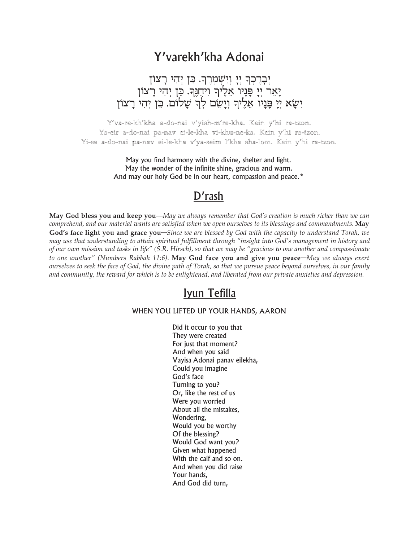# Y'varekh'kha Adonai

## יְבָרֶכְךָ יְיָ וְיִשְׁמְרֶךָ. כֵּן יְהִי רָצוֹן יַאַר יִי פַּנַיו אֵלֶיךְ וִיחֲנֶךְ. כֵן יְהִי רָצוֹן יִשָא יִיַ פְּנָיוֹ אֵלֶיךָ ויָשָׁם לְךָ שָׁלוֹם. כֵּן יִהִי רָצוֹן

Y'va-re-kh'kha a-do-nai v'yish-m're-kha. Kein y'hi ra-tzon. Ya-eir a-do-nai pa-nav ei-le-kha vi-khu-ne-ka. Kein y'hi ra-tzon. Yi-sa a-do-nai pa-nav ei-le-kha v′ya-seim l′kha sha-lom. Kein y′hi ra-tzon.

> May you find harmony with the divine, shelter and light. May the wonder of the infinite shine, gracious and warm. And may our holy God be in our heart, compassion and peace.\*

### $D'$ rash

May God bless you and keep you-May we always remember that God's creation is much richer than we can comprehend, and our material wants are satisfied when we open ourselves to its blessings and commandments. May God's face light you and grace you-Since we are blessed by God with the capacity to understand Torah, we may use that understanding to attain spiritual fulfillment through "insight into God's management in history and of our own mission and tasks in life" (S.R. Hirsch), so that we may be "gracious to one another and compassionate to one another" (Numbers Rabbah 11:6). May God face you and give you peace—May we always exert ourselves to seek the face of God, the divine path of Torah, so that we pursue peace beyond ourselves, in our family and community, the reward for which is to be enlightened, and liberated from our private anxieties and depression.

### Iyun Tefilla

#### WHEN YOU LIFTED UP YOUR HANDS, AARON

Did it occur to you that They were created For just that moment? And when you said Vayisa Adonai panav eilekha, Could you imagine God's face Turning to you? Or, like the rest of us Were you worried About all the mistakes, Wondering, Would you be worthy Of the blessing? Would God want you? Given what happened With the calf and so on. And when you did raise Your hands, And God did turn,